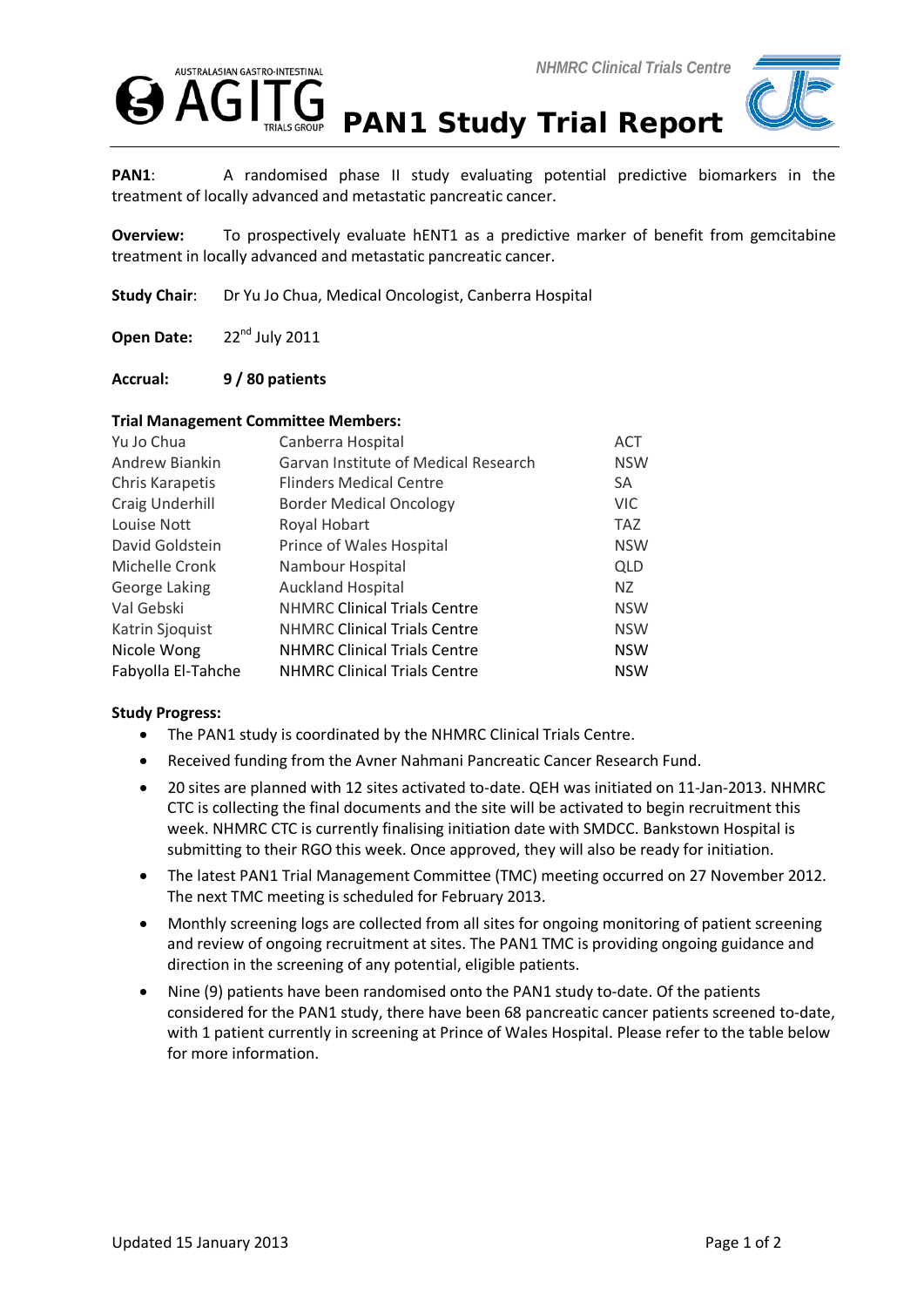



PAN1: A randomised phase II study evaluating potential predictive biomarkers in the treatment of locally advanced and metastatic pancreatic cancer.

**Overview:** To prospectively evaluate hENT1 as a predictive marker of benefit from gemcitabine treatment in locally advanced and metastatic pancreatic cancer.

**Study Chair**: Dr Yu Jo Chua, Medical Oncologist, Canberra Hospital

**Open Date:** 22<sup>nd</sup> July 2011

**Accrual: 9 / 80 patients**

## **Trial Management Committee Members:**

| Yu Jo Chua         | Canberra Hospital                    | <b>ACT</b> |
|--------------------|--------------------------------------|------------|
| Andrew Biankin     | Garvan Institute of Medical Research | <b>NSW</b> |
| Chris Karapetis    | <b>Flinders Medical Centre</b>       | <b>SA</b>  |
| Craig Underhill    | <b>Border Medical Oncology</b>       | <b>VIC</b> |
| Louise Nott        | Royal Hobart                         | <b>TAZ</b> |
| David Goldstein    | Prince of Wales Hospital             | <b>NSW</b> |
| Michelle Cronk     | Nambour Hospital                     | <b>QLD</b> |
| George Laking      | <b>Auckland Hospital</b>             | NZ.        |
| Val Gebski         | <b>NHMRC Clinical Trials Centre</b>  | <b>NSW</b> |
| Katrin Sjoquist    | <b>NHMRC Clinical Trials Centre</b>  | <b>NSW</b> |
| Nicole Wong        | <b>NHMRC Clinical Trials Centre</b>  | <b>NSW</b> |
| Fabyolla El-Tahche | <b>NHMRC Clinical Trials Centre</b>  | <b>NSW</b> |

## **Study Progress:**

- The PAN1 study is coordinated by the NHMRC Clinical Trials Centre.
- Received funding from the Avner Nahmani Pancreatic Cancer Research Fund.
- 20 sites are planned with 12 sites activated to-date. QEH was initiated on 11-Jan-2013. NHMRC CTC is collecting the final documents and the site will be activated to begin recruitment this week. NHMRC CTC is currently finalising initiation date with SMDCC. Bankstown Hospital is submitting to their RGO this week. Once approved, they will also be ready for initiation.
- The latest PAN1 Trial Management Committee (TMC) meeting occurred on 27 November 2012. The next TMC meeting is scheduled for February 2013.
- Monthly screening logs are collected from all sites for ongoing monitoring of patient screening and review of ongoing recruitment at sites. The PAN1 TMC is providing ongoing guidance and direction in the screening of any potential, eligible patients.
- Nine (9) patients have been randomised onto the PAN1 study to-date. Of the patients considered for the PAN1 study, there have been 68 pancreatic cancer patients screened to-date, with 1 patient currently in screening at Prince of Wales Hospital. Please refer to the table below for more information.